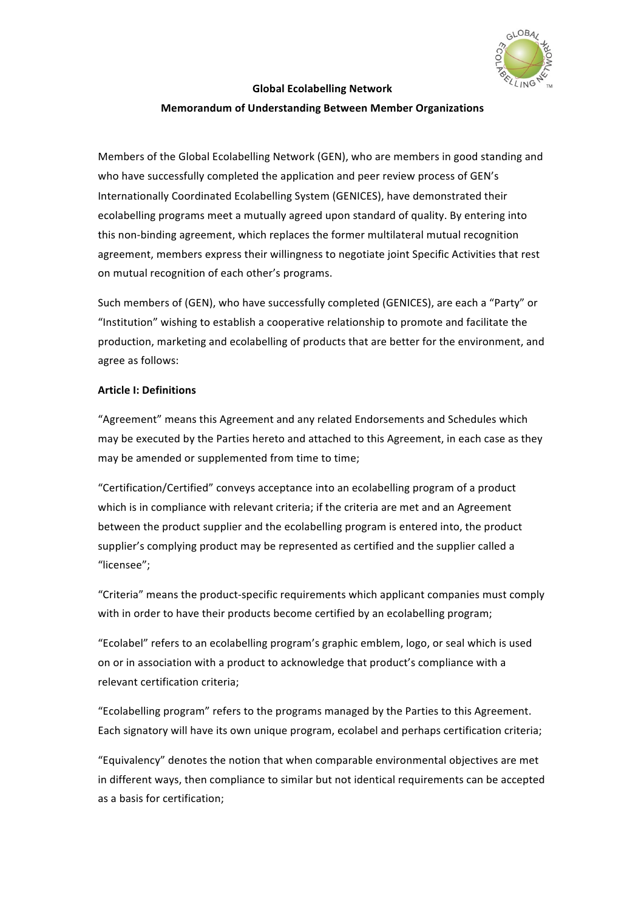

# **Global Ecolabelling Network**

## **Memorandum of Understanding Between Member Organizations**

Members of the Global Ecolabelling Network (GEN), who are members in good standing and who have successfully completed the application and peer review process of GEN's Internationally Coordinated Ecolabelling System (GENICES), have demonstrated their ecolabelling programs meet a mutually agreed upon standard of quality. By entering into this non-binding agreement, which replaces the former multilateral mutual recognition agreement, members express their willingness to negotiate joint Specific Activities that rest on mutual recognition of each other's programs.

Such members of (GEN), who have successfully completed (GENICES), are each a "Party" or "Institution" wishing to establish a cooperative relationship to promote and facilitate the production, marketing and ecolabelling of products that are better for the environment, and agree as follows:

#### **Article I: Definitions**

"Agreement" means this Agreement and any related Endorsements and Schedules which may be executed by the Parties hereto and attached to this Agreement, in each case as they may be amended or supplemented from time to time;

"Certification/Certified" conveys acceptance into an ecolabelling program of a product which is in compliance with relevant criteria; if the criteria are met and an Agreement between the product supplier and the ecolabelling program is entered into, the product supplier's complying product may be represented as certified and the supplier called a "licensee";

"Criteria" means the product-specific requirements which applicant companies must comply with in order to have their products become certified by an ecolabelling program;

"Ecolabel" refers to an ecolabelling program's graphic emblem, logo, or seal which is used on or in association with a product to acknowledge that product's compliance with a relevant certification criteria;

"Ecolabelling program" refers to the programs managed by the Parties to this Agreement. Each signatory will have its own unique program, ecolabel and perhaps certification criteria;

"Equivalency" denotes the notion that when comparable environmental objectives are met in different ways, then compliance to similar but not identical requirements can be accepted as a basis for certification: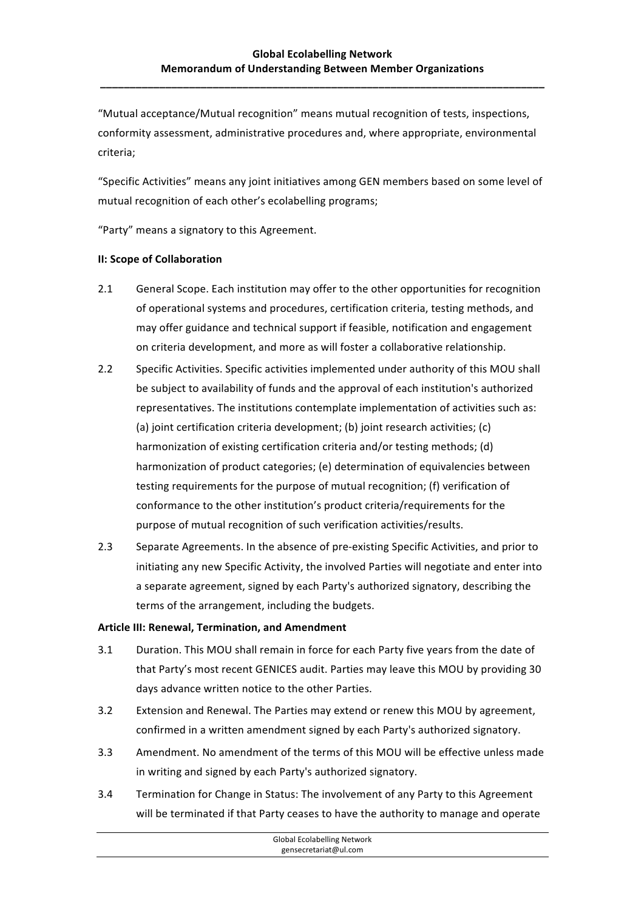**\_\_\_\_\_\_\_\_\_\_\_\_\_\_\_\_\_\_\_\_\_\_\_\_\_\_\_\_\_\_\_\_\_\_\_\_\_\_\_\_\_\_\_\_\_\_\_\_\_\_\_\_\_\_\_\_\_\_\_\_\_\_\_\_\_\_\_\_\_\_\_\_\_\_\_**

"Mutual acceptance/Mutual recognition" means mutual recognition of tests, inspections, conformity assessment, administrative procedures and, where appropriate, environmental criteria;

"Specific Activities" means any joint initiatives among GEN members based on some level of mutual recognition of each other's ecolabelling programs;

"Party" means a signatory to this Agreement.

#### **II: Scope of Collaboration**

- 2.1 General Scope. Each institution may offer to the other opportunities for recognition of operational systems and procedures, certification criteria, testing methods, and may offer guidance and technical support if feasible, notification and engagement on criteria development, and more as will foster a collaborative relationship.
- 2.2 Specific Activities. Specific activities implemented under authority of this MOU shall be subject to availability of funds and the approval of each institution's authorized representatives. The institutions contemplate implementation of activities such as: (a) joint certification criteria development; (b) joint research activities; (c) harmonization of existing certification criteria and/or testing methods; (d) harmonization of product categories; (e) determination of equivalencies between testing requirements for the purpose of mutual recognition; (f) verification of conformance to the other institution's product criteria/requirements for the purpose of mutual recognition of such verification activities/results.
- 2.3 Separate Agreements. In the absence of pre-existing Specific Activities, and prior to initiating any new Specific Activity, the involved Parties will negotiate and enter into a separate agreement, signed by each Party's authorized signatory, describing the terms of the arrangement, including the budgets.

#### **Article III: Renewal, Termination, and Amendment**

- 3.1 Duration. This MOU shall remain in force for each Party five years from the date of that Party's most recent GENICES audit. Parties may leave this MOU by providing 30 days advance written notice to the other Parties.
- 3.2 Extension and Renewal. The Parties may extend or renew this MOU by agreement, confirmed in a written amendment signed by each Party's authorized signatory.
- 3.3 Amendment. No amendment of the terms of this MOU will be effective unless made in writing and signed by each Party's authorized signatory.
- 3.4 Termination for Change in Status: The involvement of any Party to this Agreement will be terminated if that Party ceases to have the authority to manage and operate

|                       | Global Ecolabelling Network |
|-----------------------|-----------------------------|
| gensecretariat@ul.com |                             |
|                       |                             |